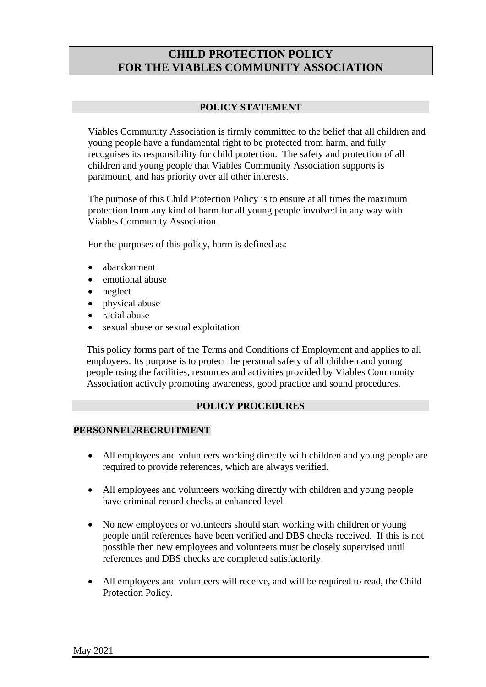# **CHILD PROTECTION POLICY FOR THE VIABLES COMMUNITY ASSOCIATION**

# **POLICY STATEMENT**

Viables Community Association is firmly committed to the belief that all children and young people have a fundamental right to be protected from harm, and fully recognises its responsibility for child protection. The safety and protection of all children and young people that Viables Community Association supports is paramount, and has priority over all other interests.

The purpose of this Child Protection Policy is to ensure at all times the maximum protection from any kind of harm for all young people involved in any way with Viables Community Association.

For the purposes of this policy, harm is defined as:

- abandonment
- emotional abuse
- neglect
- physical abuse
- racial abuse
- sexual abuse or sexual exploitation

This policy forms part of the Terms and Conditions of Employment and applies to all employees. Its purpose is to protect the personal safety of all children and young people using the facilities, resources and activities provided by Viables Community Association actively promoting awareness, good practice and sound procedures.

# **POLICY PROCEDURES**

# **PERSONNEL/RECRUITMENT**

- All employees and volunteers working directly with children and young people are required to provide references, which are always verified.
- All employees and volunteers working directly with children and young people have criminal record checks at enhanced level
- No new employees or volunteers should start working with children or young people until references have been verified and DBS checks received. If this is not possible then new employees and volunteers must be closely supervised until references and DBS checks are completed satisfactorily.
- All employees and volunteers will receive, and will be required to read, the Child Protection Policy.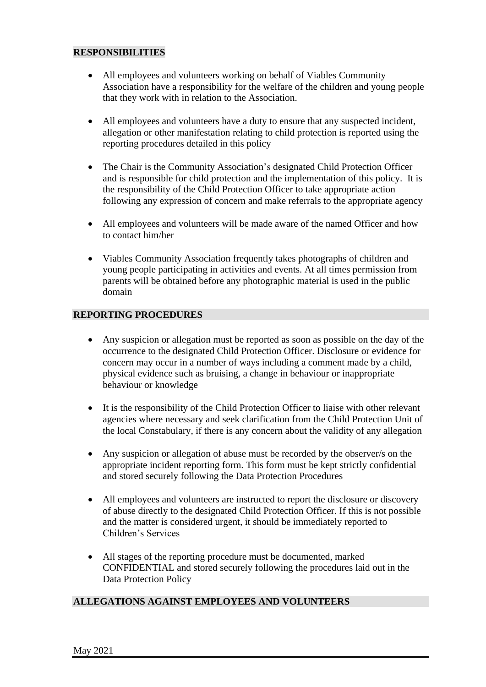### **RESPONSIBILITIES**

- All employees and volunteers working on behalf of Viables Community Association have a responsibility for the welfare of the children and young people that they work with in relation to the Association.
- All employees and volunteers have a duty to ensure that any suspected incident, allegation or other manifestation relating to child protection is reported using the reporting procedures detailed in this policy
- The Chair is the Community Association's designated Child Protection Officer and is responsible for child protection and the implementation of this policy. It is the responsibility of the Child Protection Officer to take appropriate action following any expression of concern and make referrals to the appropriate agency
- All employees and volunteers will be made aware of the named Officer and how to contact him/her
- Viables Community Association frequently takes photographs of children and young people participating in activities and events. At all times permission from parents will be obtained before any photographic material is used in the public domain

# **REPORTING PROCEDURES**

- Any suspicion or allegation must be reported as soon as possible on the day of the occurrence to the designated Child Protection Officer. Disclosure or evidence for concern may occur in a number of ways including a comment made by a child, physical evidence such as bruising, a change in behaviour or inappropriate behaviour or knowledge
- It is the responsibility of the Child Protection Officer to liaise with other relevant agencies where necessary and seek clarification from the Child Protection Unit of the local Constabulary, if there is any concern about the validity of any allegation
- Any suspicion or allegation of abuse must be recorded by the observer/s on the appropriate incident reporting form. This form must be kept strictly confidential and stored securely following the Data Protection Procedures
- All employees and volunteers are instructed to report the disclosure or discovery of abuse directly to the designated Child Protection Officer. If this is not possible and the matter is considered urgent, it should be immediately reported to Children's Services
- All stages of the reporting procedure must be documented, marked CONFIDENTIAL and stored securely following the procedures laid out in the Data Protection Policy

#### **ALLEGATIONS AGAINST EMPLOYEES AND VOLUNTEERS**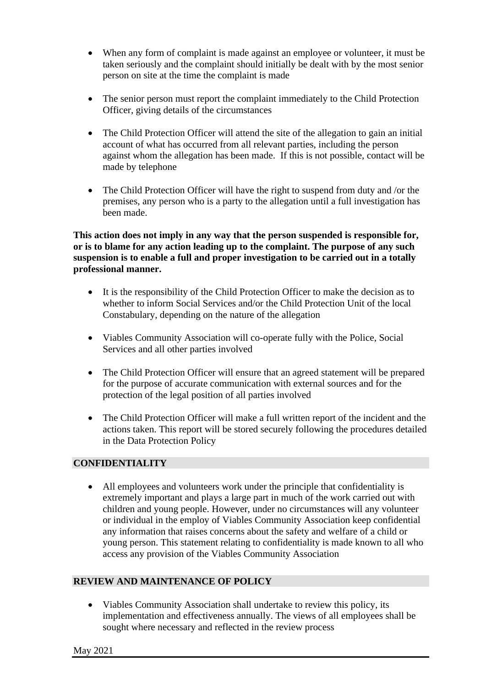- When any form of complaint is made against an employee or volunteer, it must be taken seriously and the complaint should initially be dealt with by the most senior person on site at the time the complaint is made
- The senior person must report the complaint immediately to the Child Protection Officer, giving details of the circumstances
- The Child Protection Officer will attend the site of the allegation to gain an initial account of what has occurred from all relevant parties, including the person against whom the allegation has been made. If this is not possible, contact will be made by telephone
- The Child Protection Officer will have the right to suspend from duty and /or the premises, any person who is a party to the allegation until a full investigation has been made.

**This action does not imply in any way that the person suspended is responsible for, or is to blame for any action leading up to the complaint. The purpose of any such suspension is to enable a full and proper investigation to be carried out in a totally professional manner.**

- It is the responsibility of the Child Protection Officer to make the decision as to whether to inform Social Services and/or the Child Protection Unit of the local Constabulary, depending on the nature of the allegation
- Viables Community Association will co-operate fully with the Police, Social Services and all other parties involved
- The Child Protection Officer will ensure that an agreed statement will be prepared for the purpose of accurate communication with external sources and for the protection of the legal position of all parties involved
- The Child Protection Officer will make a full written report of the incident and the actions taken. This report will be stored securely following the procedures detailed in the Data Protection Policy

# **CONFIDENTIALITY**

• All employees and volunteers work under the principle that confidentiality is extremely important and plays a large part in much of the work carried out with children and young people. However, under no circumstances will any volunteer or individual in the employ of Viables Community Association keep confidential any information that raises concerns about the safety and welfare of a child or young person. This statement relating to confidentiality is made known to all who access any provision of the Viables Community Association

# **REVIEW AND MAINTENANCE OF POLICY**

• Viables Community Association shall undertake to review this policy, its implementation and effectiveness annually. The views of all employees shall be sought where necessary and reflected in the review process